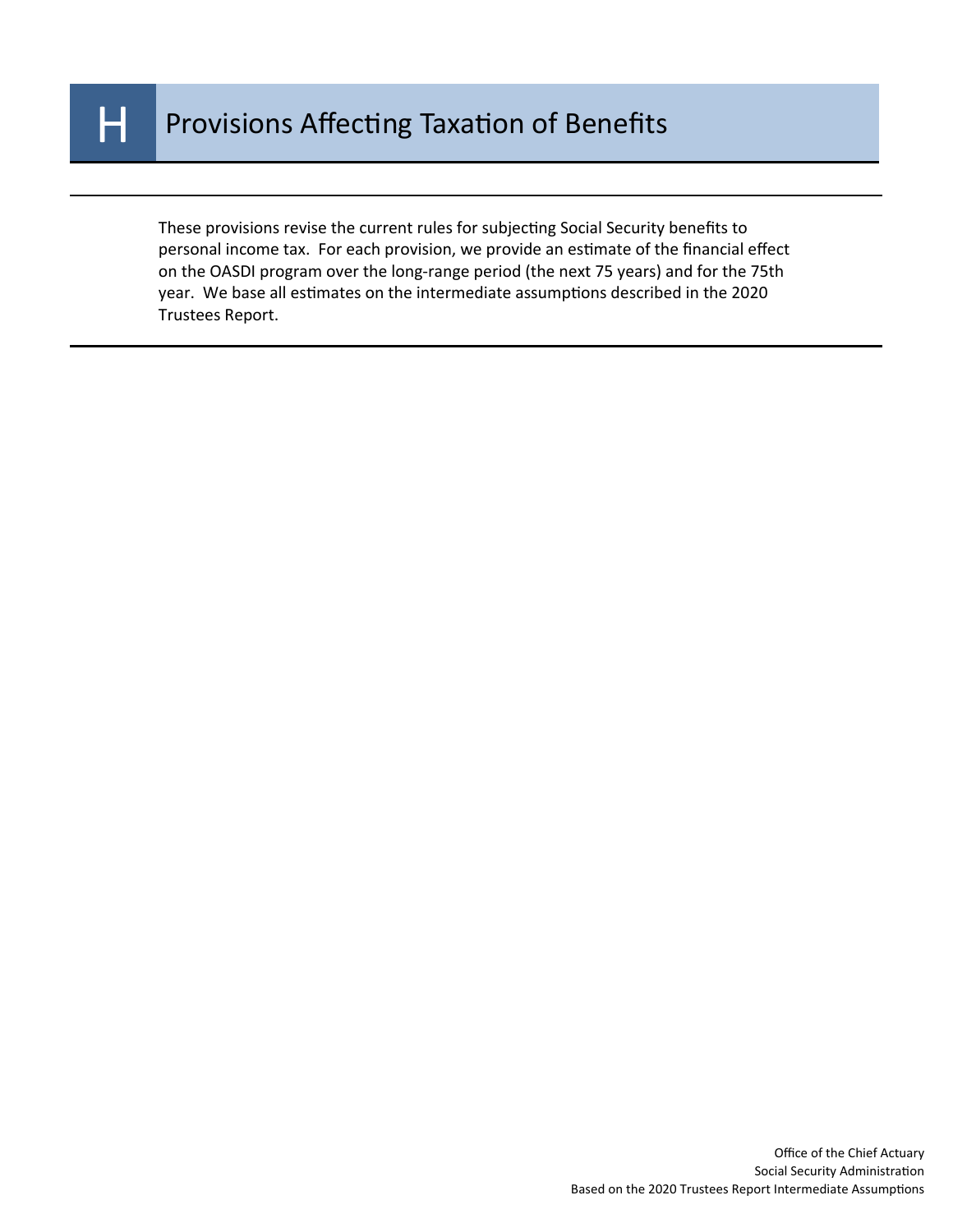

These provisions revise the current rules for subjecting Social Security benefits to personal income tax. For each provision, we provide an estimate of the financial effect on the OASDI program over the long-range period (the next 75 years) and for the 75th year. We base all estimates on the intermediate assumptions described in the 2020 Trustees Report.